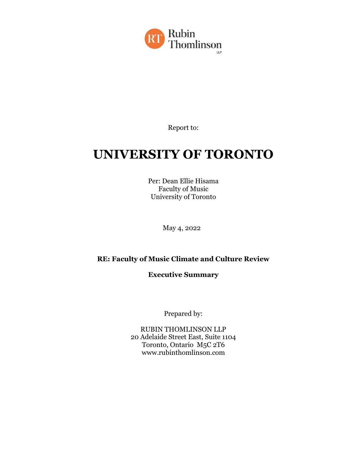

Report to:

# **UNIVERSITY OF TORONTO**

Per: Dean Ellie Hisama Faculty of Music University of Toronto

May 4, 2022

#### **RE: Faculty of Music Climate and Culture Review**

**Executive Summary**

Prepared by:

RUBIN THOMLINSON LLP 20 Adelaide Street East, Suite 1104 Toronto, Ontario M5C 2T6 www.rubinthomlinson.com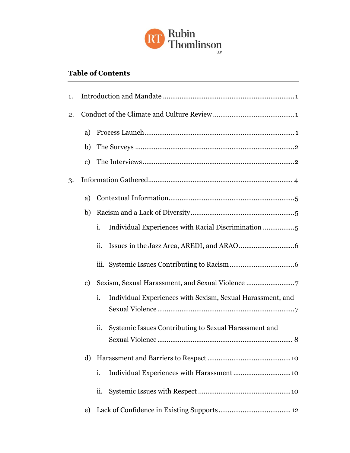

# **Table of Contents**

| 1. |               |                                                                  |
|----|---------------|------------------------------------------------------------------|
| 2. |               |                                                                  |
|    | a)            |                                                                  |
|    | b)            |                                                                  |
|    | $\mathbf{c})$ |                                                                  |
| 3. |               |                                                                  |
|    | a)            |                                                                  |
|    | b)            |                                                                  |
|    |               | i.<br>Individual Experiences with Racial Discrimination 5        |
|    |               | ii.                                                              |
|    |               |                                                                  |
|    | $\mathbf{c})$ |                                                                  |
|    |               | i.<br>Individual Experiences with Sexism, Sexual Harassment, and |
|    |               |                                                                  |
|    |               | Systemic Issues Contributing to Sexual Harassment and<br>ii.     |
|    |               |                                                                  |
|    | d)            |                                                                  |
|    |               | i.<br>Individual Experiences with Harassment10                   |
|    |               | ii.                                                              |
|    | e)            |                                                                  |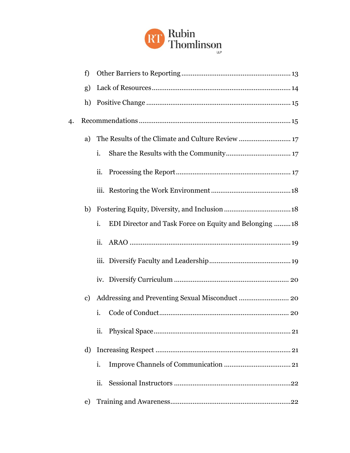

|    | f)            |                                                              |
|----|---------------|--------------------------------------------------------------|
|    | g)            |                                                              |
|    | h)            |                                                              |
| 4. |               |                                                              |
|    | a)            |                                                              |
|    |               | i.                                                           |
|    |               | ii.                                                          |
|    |               |                                                              |
|    | b)            |                                                              |
|    |               | i.<br>EDI Director and Task Force on Equity and Belonging 18 |
|    |               | ii.                                                          |
|    |               |                                                              |
|    |               |                                                              |
|    | $\mathbf{c})$ |                                                              |
|    |               | i.                                                           |
|    |               | ii.                                                          |
|    | d)            |                                                              |
|    |               | i.                                                           |
|    |               | ii.                                                          |
|    | e)            |                                                              |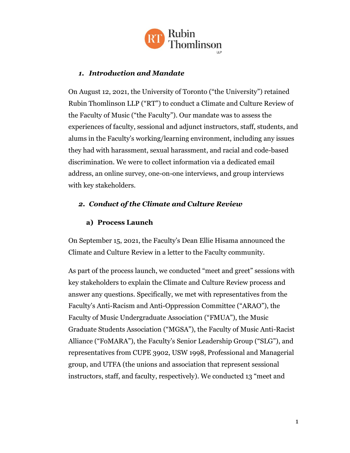

#### <span id="page-3-0"></span>*1. Introduction and Mandate*

On August 12, 2021, the University of Toronto ("the University") retained Rubin Thomlinson LLP ("RT") to conduct a Climate and Culture Review of the Faculty of Music ("the Faculty"). Our mandate was to assess the experiences of faculty, sessional and adjunct instructors, staff, students, and alums in the Faculty's working/learning environment, including any issues they had with harassment, sexual harassment, and racial and code-based discrimination. We were to collect information via a dedicated email address, an online survey, one-on-one interviews, and group interviews with key stakeholders.

# <span id="page-3-1"></span>*2. Conduct of the Climate and Culture Review*

#### **a) Process Launch**

<span id="page-3-2"></span>On September 15, 2021, the Faculty's Dean Ellie Hisama announced the Climate and Culture Review in a letter to the Faculty community.

As part of the process launch, we conducted "meet and greet" sessions with key stakeholders to explain the Climate and Culture Review process and answer any questions. Specifically, we met with representatives from the Faculty's Anti-Racism and Anti-Oppression Committee ("ARAO"), the Faculty of Music Undergraduate Association ("FMUA"), the Music Graduate Students Association ("MGSA"), the Faculty of Music Anti-Racist Alliance ("FoMARA"), the Faculty's Senior Leadership Group ("SLG"), and representatives from CUPE 3902, USW 1998, Professional and Managerial group, and UTFA (the unions and association that represent sessional instructors, staff, and faculty, respectively). We conducted 13 "meet and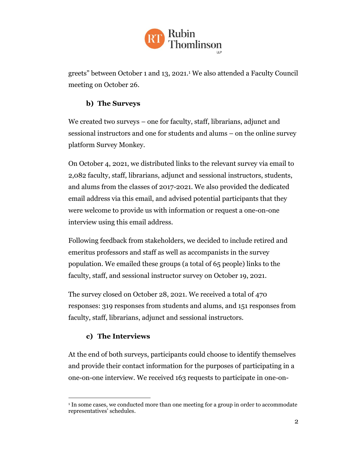

greets" between October 1 and 13, 2021. <sup>1</sup> We also attended a Faculty Council meeting on October 26.

# **b) The Surveys**

<span id="page-4-0"></span>We created two surveys – one for faculty, staff, librarians, adjunct and sessional instructors and one for students and alums – on the online survey platform Survey Monkey.

On October 4, 2021, we distributed links to the relevant survey via email to 2,082 faculty, staff, librarians, adjunct and sessional instructors, students, and alums from the classes of 2017-2021. We also provided the dedicated email address via this email, and advised potential participants that they were welcome to provide us with information or request a one-on-one interview using this email address.

Following feedback from stakeholders, we decided to include retired and emeritus professors and staff as well as accompanists in the survey population. We emailed these groups (a total of 65 people) links to the faculty, staff, and sessional instructor survey on October 19, 2021.

The survey closed on October 28, 2021. We received a total of 470 responses: 319 responses from students and alums, and 151 responses from faculty, staff, librarians, adjunct and sessional instructors.

# **c) The Interviews**

<span id="page-4-1"></span>At the end of both surveys, participants could choose to identify themselves and provide their contact information for the purposes of participating in a one-on-one interview. We received 163 requests to participate in one-on-

<sup>&</sup>lt;sup>1</sup> In some cases, we conducted more than one meeting for a group in order to accommodate representatives' schedules.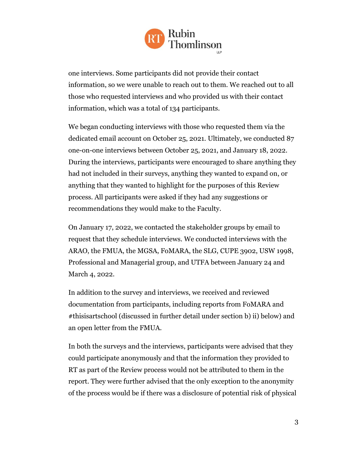

one interviews. Some participants did not provide their contact information, so we were unable to reach out to them. We reached out to all those who requested interviews and who provided us with their contact information, which was a total of 134 participants.

We began conducting interviews with those who requested them via the dedicated email account on October 25, 2021. Ultimately, we conducted 87 one-on-one interviews between October 25, 2021, and January 18, 2022. During the interviews, participants were encouraged to share anything they had not included in their surveys, anything they wanted to expand on, or anything that they wanted to highlight for the purposes of this Review process. All participants were asked if they had any suggestions or recommendations they would make to the Faculty.

On January 17, 2022, we contacted the stakeholder groups by email to request that they schedule interviews. We conducted interviews with the ARAO, the FMUA, the MGSA, FoMARA, the SLG, CUPE 3902, USW 1998, Professional and Managerial group, and UTFA between January 24 and March 4, 2022.

In addition to the survey and interviews, we received and reviewed documentation from participants, including reports from FoMARA and #thisisartschool (discussed in further detail under section b) ii) below) and an open letter from the FMUA.

In both the surveys and the interviews, participants were advised that they could participate anonymously and that the information they provided to RT as part of the Review process would not be attributed to them in the report. They were further advised that the only exception to the anonymity of the process would be if there was a disclosure of potential risk of physical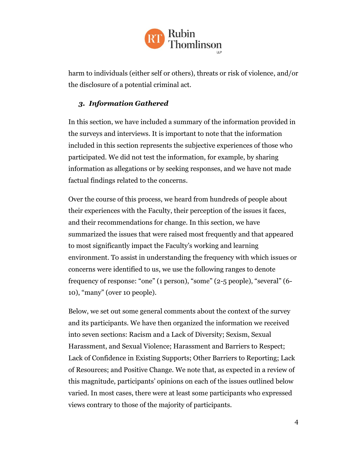

harm to individuals (either self or others), threats or risk of violence, and/or the disclosure of a potential criminal act.

#### <span id="page-6-0"></span>*3. Information Gathered*

In this section, we have included a summary of the information provided in the surveys and interviews. It is important to note that the information included in this section represents the subjective experiences of those who participated. We did not test the information, for example, by sharing information as allegations or by seeking responses, and we have not made factual findings related to the concerns.

Over the course of this process, we heard from hundreds of people about their experiences with the Faculty, their perception of the issues it faces, and their recommendations for change. In this section, we have summarized the issues that were raised most frequently and that appeared to most significantly impact the Faculty's working and learning environment. To assist in understanding the frequency with which issues or concerns were identified to us, we use the following ranges to denote frequency of response: "one" (1 person), "some" (2-5 people), "several" (6- 10), "many" (over 10 people).

Below, we set out some general comments about the context of the survey and its participants. We have then organized the information we received into seven sections: Racism and a Lack of Diversity; Sexism, Sexual Harassment, and Sexual Violence; Harassment and Barriers to Respect; Lack of Confidence in Existing Supports; Other Barriers to Reporting; Lack of Resources; and Positive Change. We note that, as expected in a review of this magnitude, participants' opinions on each of the issues outlined below varied. In most cases, there were at least some participants who expressed views contrary to those of the majority of participants.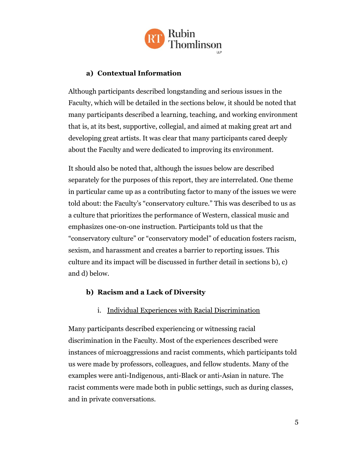

# **a) Contextual Information**

<span id="page-7-0"></span>Although participants described longstanding and serious issues in the Faculty, which will be detailed in the sections below, it should be noted that many participants described a learning, teaching, and working environment that is, at its best, supportive, collegial, and aimed at making great art and developing great artists. It was clear that many participants cared deeply about the Faculty and were dedicated to improving its environment.

It should also be noted that, although the issues below are described separately for the purposes of this report, they are interrelated. One theme in particular came up as a contributing factor to many of the issues we were told about: the Faculty's "conservatory culture." This was described to us as a culture that prioritizes the performance of Western, classical music and emphasizes one-on-one instruction. Participants told us that the "conservatory culture" or "conservatory model" of education fosters racism, sexism, and harassment and creates a barrier to reporting issues. This culture and its impact will be discussed in further detail in sections b), c) and d) below.

# <span id="page-7-1"></span>**b) Racism and a Lack of Diversity**

# i. Individual Experiences with Racial Discrimination

<span id="page-7-2"></span>Many participants described experiencing or witnessing racial discrimination in the Faculty. Most of the experiences described were instances of microaggressions and racist comments, which participants told us were made by professors, colleagues, and fellow students. Many of the examples were anti-Indigenous, anti-Black or anti-Asian in nature. The racist comments were made both in public settings, such as during classes, and in private conversations.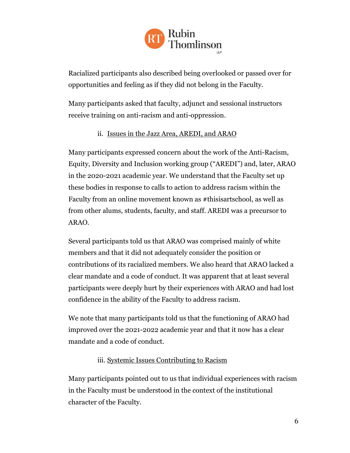

Racialized participants also described being overlooked or passed over for opportunities and feeling as if they did not belong in the Faculty.

Many participants asked that faculty, adjunct and sessional instructors receive training on anti-racism and anti-oppression.

# ii. Issues in the Jazz Area, AREDI, and ARAO

<span id="page-8-0"></span>Many participants expressed concern about the work of the Anti-Racism, Equity, Diversity and Inclusion working group ("AREDI") and, later, ARAO in the 2020-2021 academic year. We understand that the Faculty set up these bodies in response to calls to action to address racism within the Faculty from an online movement known as #thisisartschool, as well as from other alums, students, faculty, and staff. AREDI was a precursor to ARAO.

Several participants told us that ARAO was comprised mainly of white members and that it did not adequately consider the position or contributions of its racialized members. We also heard that ARAO lacked a clear mandate and a code of conduct. It was apparent that at least several participants were deeply hurt by their experiences with ARAO and had lost confidence in the ability of the Faculty to address racism.

We note that many participants told us that the functioning of ARAO had improved over the 2021-2022 academic year and that it now has a clear mandate and a code of conduct.

#### iii. Systemic Issues Contributing to Racism

<span id="page-8-1"></span>Many participants pointed out to us that individual experiences with racism in the Faculty must be understood in the context of the institutional character of the Faculty.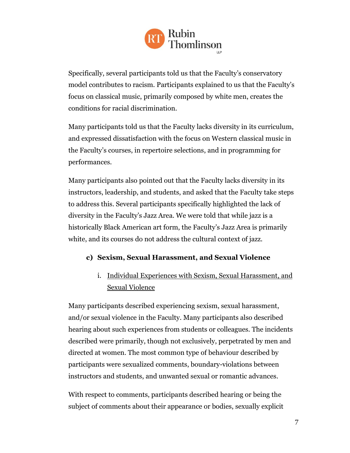

Specifically, several participants told us that the Faculty's conservatory model contributes to racism. Participants explained to us that the Faculty's focus on classical music, primarily composed by white men, creates the conditions for racial discrimination.

Many participants told us that the Faculty lacks diversity in its curriculum, and expressed dissatisfaction with the focus on Western classical music in the Faculty's courses, in repertoire selections, and in programming for performances.

Many participants also pointed out that the Faculty lacks diversity in its instructors, leadership, and students, and asked that the Faculty take steps to address this. Several participants specifically highlighted the lack of diversity in the Faculty's Jazz Area. We were told that while jazz is a historically Black American art form, the Faculty's Jazz Area is primarily white, and its courses do not address the cultural context of jazz.

# <span id="page-9-1"></span><span id="page-9-0"></span>**c) Sexism, Sexual Harassment, and Sexual Violence**

# i. Individual Experiences with Sexism, Sexual Harassment, and Sexual Violence

Many participants described experiencing sexism, sexual harassment, and/or sexual violence in the Faculty. Many participants also described hearing about such experiences from students or colleagues. The incidents described were primarily, though not exclusively, perpetrated by men and directed at women. The most common type of behaviour described by participants were sexualized comments, boundary-violations between instructors and students, and unwanted sexual or romantic advances.

With respect to comments, participants described hearing or being the subject of comments about their appearance or bodies, sexually explicit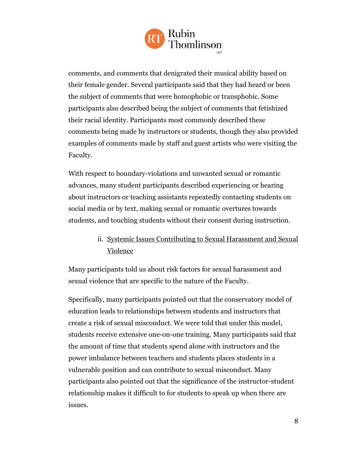

comments, and comments that denigrated their musical ability based on their female gender. Several participants said that they had heard or been the subject of comments that were homophobic or transphobic. Some participants also described being the subject of comments that fetishized their racial identity. Participants most commonly described these comments being made by instructors or students, though they also provided examples of comments made by staff and guest artists who were visiting the Faculty.

With respect to boundary-violations and unwanted sexual or romantic advances, many student participants described experiencing or hearing about instructors or teaching assistants repeatedly contacting students on social media or by text, making sexual or romantic overtures towards students, and touching students without their consent during instruction.

# <span id="page-10-0"></span>ii. Systemic Issues Contributing to Sexual Harassment and Sexual Violence

Many participants told us about risk factors for sexual harassment and sexual violence that are specific to the nature of the Faculty.

Specifically, many participants pointed out that the conservatory model of education leads to relationships between students and instructors that create a risk of sexual misconduct. We were told that under this model, students receive extensive one-on-one training. Many participants said that the amount of time that students spend alone with instructors and the power imbalance between teachers and students places students in a vulnerable position and can contribute to sexual misconduct. Many participants also pointed out that the significance of the instructor-student relationship makes it difficult to for students to speak up when there are issues.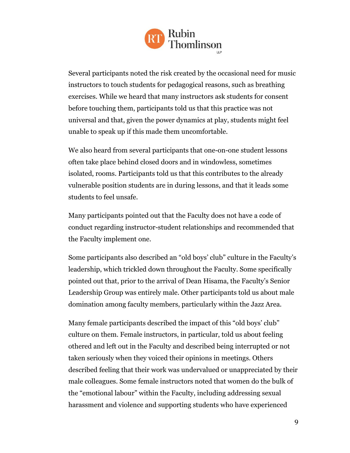

Several participants noted the risk created by the occasional need for music instructors to touch students for pedagogical reasons, such as breathing exercises. While we heard that many instructors ask students for consent before touching them, participants told us that this practice was not universal and that, given the power dynamics at play, students might feel unable to speak up if this made them uncomfortable.

We also heard from several participants that one-on-one student lessons often take place behind closed doors and in windowless, sometimes isolated, rooms. Participants told us that this contributes to the already vulnerable position students are in during lessons, and that it leads some students to feel unsafe.

Many participants pointed out that the Faculty does not have a code of conduct regarding instructor-student relationships and recommended that the Faculty implement one.

Some participants also described an "old boys' club" culture in the Faculty's leadership, which trickled down throughout the Faculty. Some specifically pointed out that, prior to the arrival of Dean Hisama, the Faculty's Senior Leadership Group was entirely male. Other participants told us about male domination among faculty members, particularly within the Jazz Area.

Many female participants described the impact of this "old boys' club" culture on them. Female instructors, in particular, told us about feeling othered and left out in the Faculty and described being interrupted or not taken seriously when they voiced their opinions in meetings. Others described feeling that their work was undervalued or unappreciated by their male colleagues. Some female instructors noted that women do the bulk of the "emotional labour" within the Faculty, including addressing sexual harassment and violence and supporting students who have experienced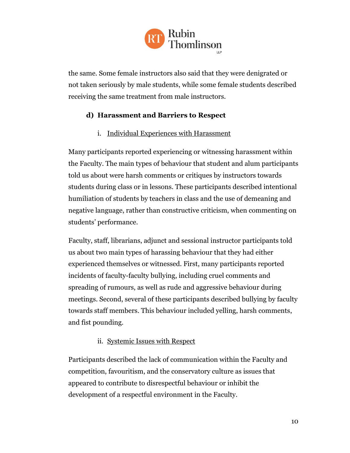

the same. Some female instructors also said that they were denigrated or not taken seriously by male students, while some female students described receiving the same treatment from male instructors.

#### <span id="page-12-0"></span>**d) Harassment and Barriers to Respect**

#### i. Individual Experiences with Harassment

<span id="page-12-1"></span>Many participants reported experiencing or witnessing harassment within the Faculty. The main types of behaviour that student and alum participants told us about were harsh comments or critiques by instructors towards students during class or in lessons. These participants described intentional humiliation of students by teachers in class and the use of demeaning and negative language, rather than constructive criticism, when commenting on students' performance.

Faculty, staff, librarians, adjunct and sessional instructor participants told us about two main types of harassing behaviour that they had either experienced themselves or witnessed. First, many participants reported incidents of faculty-faculty bullying, including cruel comments and spreading of rumours, as well as rude and aggressive behaviour during meetings. Second, several of these participants described bullying by faculty towards staff members. This behaviour included yelling, harsh comments, and fist pounding.

#### ii. Systemic Issues with Respect

<span id="page-12-2"></span>Participants described the lack of communication within the Faculty and competition, favouritism, and the conservatory culture as issues that appeared to contribute to disrespectful behaviour or inhibit the development of a respectful environment in the Faculty.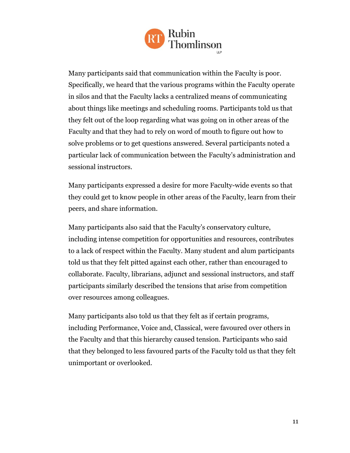

Many participants said that communication within the Faculty is poor. Specifically, we heard that the various programs within the Faculty operate in silos and that the Faculty lacks a centralized means of communicating about things like meetings and scheduling rooms. Participants told us that they felt out of the loop regarding what was going on in other areas of the Faculty and that they had to rely on word of mouth to figure out how to solve problems or to get questions answered. Several participants noted a particular lack of communication between the Faculty's administration and sessional instructors.

Many participants expressed a desire for more Faculty-wide events so that they could get to know people in other areas of the Faculty, learn from their peers, and share information.

Many participants also said that the Faculty's conservatory culture, including intense competition for opportunities and resources, contributes to a lack of respect within the Faculty. Many student and alum participants told us that they felt pitted against each other, rather than encouraged to collaborate. Faculty, librarians, adjunct and sessional instructors, and staff participants similarly described the tensions that arise from competition over resources among colleagues.

Many participants also told us that they felt as if certain programs, including Performance, Voice and, Classical, were favoured over others in the Faculty and that this hierarchy caused tension. Participants who said that they belonged to less favoured parts of the Faculty told us that they felt unimportant or overlooked.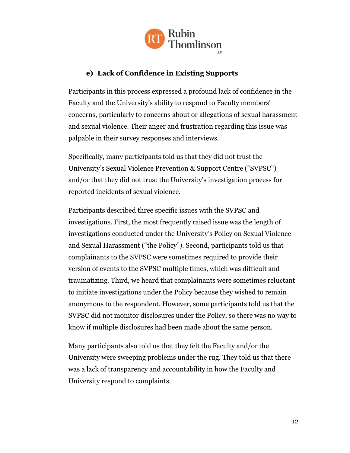

# **e) Lack of Confidence in Existing Supports**

<span id="page-14-0"></span>Participants in this process expressed a profound lack of confidence in the Faculty and the University's ability to respond to Faculty members' concerns, particularly to concerns about or allegations of sexual harassment and sexual violence. Their anger and frustration regarding this issue was palpable in their survey responses and interviews.

Specifically, many participants told us that they did not trust the University's Sexual Violence Prevention & Support Centre ("SVPSC") and/or that they did not trust the University's investigation process for reported incidents of sexual violence.

Participants described three specific issues with the SVPSC and investigations. First, the most frequently raised issue was the length of investigations conducted under the University's Policy on Sexual Violence and Sexual Harassment ("the Policy"). Second, participants told us that complainants to the SVPSC were sometimes required to provide their version of events to the SVPSC multiple times, which was difficult and traumatizing. Third, we heard that complainants were sometimes reluctant to initiate investigations under the Policy because they wished to remain anonymous to the respondent. However, some participants told us that the SVPSC did not monitor disclosures under the Policy, so there was no way to know if multiple disclosures had been made about the same person.

Many participants also told us that they felt the Faculty and/or the University were sweeping problems under the rug. They told us that there was a lack of transparency and accountability in how the Faculty and University respond to complaints.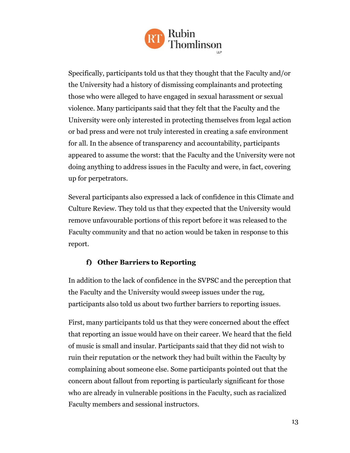

Specifically, participants told us that they thought that the Faculty and/or the University had a history of dismissing complainants and protecting those who were alleged to have engaged in sexual harassment or sexual violence. Many participants said that they felt that the Faculty and the University were only interested in protecting themselves from legal action or bad press and were not truly interested in creating a safe environment for all. In the absence of transparency and accountability, participants appeared to assume the worst: that the Faculty and the University were not doing anything to address issues in the Faculty and were, in fact, covering up for perpetrators.

Several participants also expressed a lack of confidence in this Climate and Culture Review. They told us that they expected that the University would remove unfavourable portions of this report before it was released to the Faculty community and that no action would be taken in response to this report.

#### **f) Other Barriers to Reporting**

<span id="page-15-0"></span>In addition to the lack of confidence in the SVPSC and the perception that the Faculty and the University would sweep issues under the rug, participants also told us about two further barriers to reporting issues.

First, many participants told us that they were concerned about the effect that reporting an issue would have on their career. We heard that the field of music is small and insular. Participants said that they did not wish to ruin their reputation or the network they had built within the Faculty by complaining about someone else. Some participants pointed out that the concern about fallout from reporting is particularly significant for those who are already in vulnerable positions in the Faculty, such as racialized Faculty members and sessional instructors.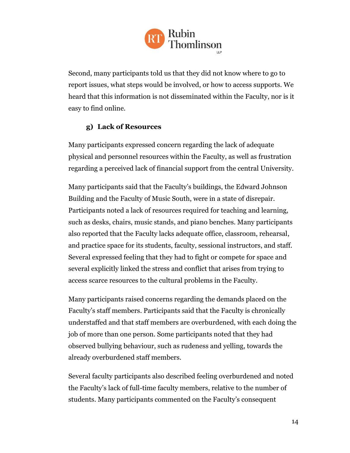

Second, many participants told us that they did not know where to go to report issues, what steps would be involved, or how to access supports. We heard that this information is not disseminated within the Faculty, nor is it easy to find online.

#### **g) Lack of Resources**

<span id="page-16-0"></span>Many participants expressed concern regarding the lack of adequate physical and personnel resources within the Faculty, as well as frustration regarding a perceived lack of financial support from the central University.

Many participants said that the Faculty's buildings, the Edward Johnson Building and the Faculty of Music South, were in a state of disrepair. Participants noted a lack of resources required for teaching and learning, such as desks, chairs, music stands, and piano benches. Many participants also reported that the Faculty lacks adequate office, classroom, rehearsal, and practice space for its students, faculty, sessional instructors, and staff. Several expressed feeling that they had to fight or compete for space and several explicitly linked the stress and conflict that arises from trying to access scarce resources to the cultural problems in the Faculty.

Many participants raised concerns regarding the demands placed on the Faculty's staff members. Participants said that the Faculty is chronically understaffed and that staff members are overburdened, with each doing the job of more than one person. Some participants noted that they had observed bullying behaviour, such as rudeness and yelling, towards the already overburdened staff members.

Several faculty participants also described feeling overburdened and noted the Faculty's lack of full-time faculty members, relative to the number of students. Many participants commented on the Faculty's consequent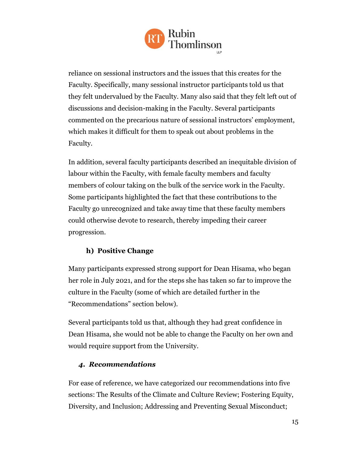

reliance on sessional instructors and the issues that this creates for the Faculty. Specifically, many sessional instructor participants told us that they felt undervalued by the Faculty. Many also said that they felt left out of discussions and decision-making in the Faculty. Several participants commented on the precarious nature of sessional instructors' employment, which makes it difficult for them to speak out about problems in the Faculty.

In addition, several faculty participants described an inequitable division of labour within the Faculty, with female faculty members and faculty members of colour taking on the bulk of the service work in the Faculty. Some participants highlighted the fact that these contributions to the Faculty go unrecognized and take away time that these faculty members could otherwise devote to research, thereby impeding their career progression.

# **h) Positive Change**

<span id="page-17-0"></span>Many participants expressed strong support for Dean Hisama, who began her role in July 2021, and for the steps she has taken so far to improve the culture in the Faculty (some of which are detailed further in the "Recommendations" section below).

Several participants told us that, although they had great confidence in Dean Hisama, she would not be able to change the Faculty on her own and would require support from the University.

#### <span id="page-17-1"></span>*4. Recommendations*

For ease of reference, we have categorized our recommendations into five sections: The Results of the Climate and Culture Review; Fostering Equity, Diversity, and Inclusion; Addressing and Preventing Sexual Misconduct;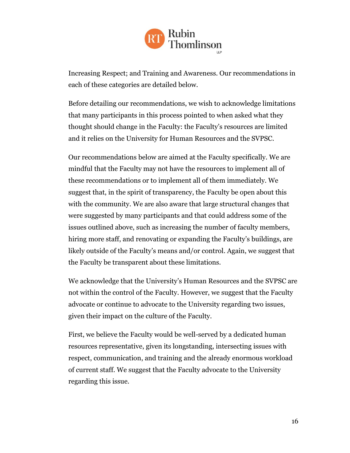

Increasing Respect; and Training and Awareness. Our recommendations in each of these categories are detailed below.

Before detailing our recommendations, we wish to acknowledge limitations that many participants in this process pointed to when asked what they thought should change in the Faculty: the Faculty's resources are limited and it relies on the University for Human Resources and the SVPSC.

Our recommendations below are aimed at the Faculty specifically. We are mindful that the Faculty may not have the resources to implement all of these recommendations or to implement all of them immediately. We suggest that, in the spirit of transparency, the Faculty be open about this with the community. We are also aware that large structural changes that were suggested by many participants and that could address some of the issues outlined above, such as increasing the number of faculty members, hiring more staff, and renovating or expanding the Faculty's buildings, are likely outside of the Faculty's means and/or control. Again, we suggest that the Faculty be transparent about these limitations.

We acknowledge that the University's Human Resources and the SVPSC are not within the control of the Faculty. However, we suggest that the Faculty advocate or continue to advocate to the University regarding two issues, given their impact on the culture of the Faculty.

First, we believe the Faculty would be well-served by a dedicated human resources representative, given its longstanding, intersecting issues with respect, communication, and training and the already enormous workload of current staff. We suggest that the Faculty advocate to the University regarding this issue.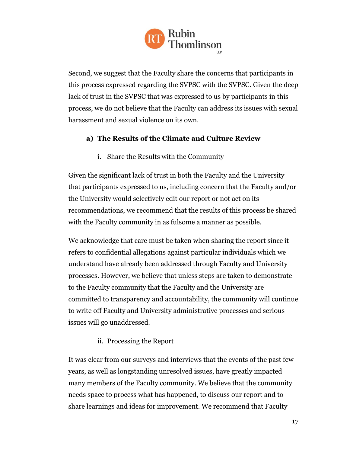

Second, we suggest that the Faculty share the concerns that participants in this process expressed regarding the SVPSC with the SVPSC. Given the deep lack of trust in the SVPSC that was expressed to us by participants in this process, we do not believe that the Faculty can address its issues with sexual harassment and sexual violence on its own.

# <span id="page-19-0"></span>**a) The Results of the Climate and Culture Review**

i. Share the Results with the Community

<span id="page-19-1"></span>Given the significant lack of trust in both the Faculty and the University that participants expressed to us, including concern that the Faculty and/or the University would selectively edit our report or not act on its recommendations, we recommend that the results of this process be shared with the Faculty community in as fulsome a manner as possible.

We acknowledge that care must be taken when sharing the report since it refers to confidential allegations against particular individuals which we understand have already been addressed through Faculty and University processes. However, we believe that unless steps are taken to demonstrate to the Faculty community that the Faculty and the University are committed to transparency and accountability, the community will continue to write off Faculty and University administrative processes and serious issues will go unaddressed.

#### ii. Processing the Report

<span id="page-19-2"></span>It was clear from our surveys and interviews that the events of the past few years, as well as longstanding unresolved issues, have greatly impacted many members of the Faculty community. We believe that the community needs space to process what has happened, to discuss our report and to share learnings and ideas for improvement. We recommend that Faculty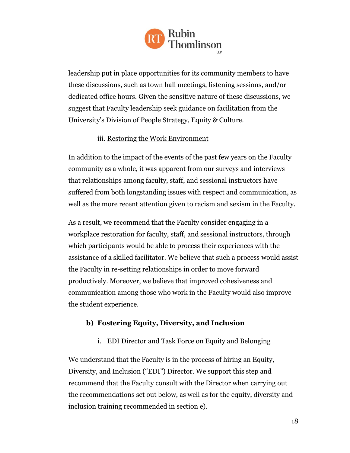

leadership put in place opportunities for its community members to have these discussions, such as town hall meetings, listening sessions, and/or dedicated office hours. Given the sensitive nature of these discussions, we suggest that Faculty leadership seek guidance on facilitation from the University's Division of People Strategy, Equity & Culture.

#### iii. Restoring the Work Environment

<span id="page-20-0"></span>In addition to the impact of the events of the past few years on the Faculty community as a whole, it was apparent from our surveys and interviews that relationships among faculty, staff, and sessional instructors have suffered from both longstanding issues with respect and communication, as well as the more recent attention given to racism and sexism in the Faculty.

As a result, we recommend that the Faculty consider engaging in a workplace restoration for faculty, staff, and sessional instructors, through which participants would be able to process their experiences with the assistance of a skilled facilitator. We believe that such a process would assist the Faculty in re-setting relationships in order to move forward productively. Moreover, we believe that improved cohesiveness and communication among those who work in the Faculty would also improve the student experience.

#### <span id="page-20-1"></span>**b) Fostering Equity, Diversity, and Inclusion**

#### i. EDI Director and Task Force on Equity and Belonging

<span id="page-20-2"></span>We understand that the Faculty is in the process of hiring an Equity, Diversity, and Inclusion ("EDI") Director. We support this step and recommend that the Faculty consult with the Director when carrying out the recommendations set out below, as well as for the equity, diversity and inclusion training recommended in section e).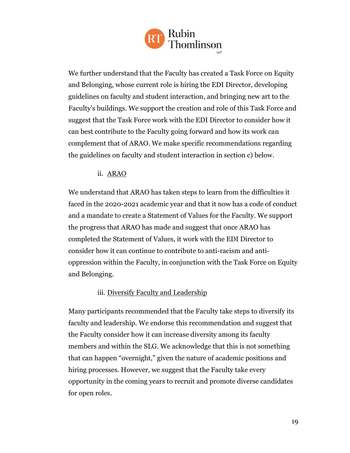

We further understand that the Faculty has created a Task Force on Equity and Belonging, whose current role is hiring the EDI Director, developing guidelines on faculty and student interaction, and bringing new art to the Faculty's buildings. We support the creation and role of this Task Force and suggest that the Task Force work with the EDI Director to consider how it can best contribute to the Faculty going forward and how its work can complement that of ARAO. We make specific recommendations regarding the guidelines on faculty and student interaction in section c) below.

#### ii. ARAO

<span id="page-21-0"></span>We understand that ARAO has taken steps to learn from the difficulties it faced in the 2020-2021 academic year and that it now has a code of conduct and a mandate to create a Statement of Values for the Faculty. We support the progress that ARAO has made and suggest that once ARAO has completed the Statement of Values, it work with the EDI Director to consider how it can continue to contribute to anti-racism and antioppression within the Faculty, in conjunction with the Task Force on Equity and Belonging.

#### iii. Diversify Faculty and Leadership

<span id="page-21-1"></span>Many participants recommended that the Faculty take steps to diversify its faculty and leadership. We endorse this recommendation and suggest that the Faculty consider how it can increase diversity among its faculty members and within the SLG. We acknowledge that this is not something that can happen "overnight," given the nature of academic positions and hiring processes. However, we suggest that the Faculty take every opportunity in the coming years to recruit and promote diverse candidates for open roles.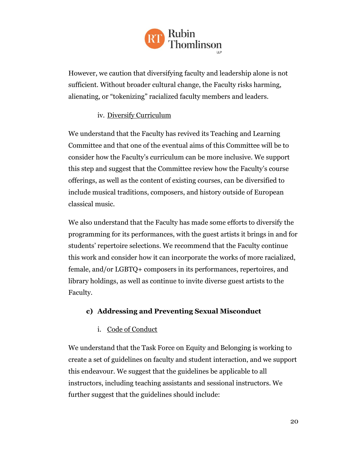

However, we caution that diversifying faculty and leadership alone is not sufficient. Without broader cultural change, the Faculty risks harming, alienating, or "tokenizing" racialized faculty members and leaders.

# iv. Diversify Curriculum

<span id="page-22-0"></span>We understand that the Faculty has revived its Teaching and Learning Committee and that one of the eventual aims of this Committee will be to consider how the Faculty's curriculum can be more inclusive. We support this step and suggest that the Committee review how the Faculty's course offerings, as well as the content of existing courses, can be diversified to include musical traditions, composers, and history outside of European classical music.

We also understand that the Faculty has made some efforts to diversify the programming for its performances, with the guest artists it brings in and for students' repertoire selections. We recommend that the Faculty continue this work and consider how it can incorporate the works of more racialized, female, and/or LGBTQ+ composers in its performances, repertoires, and library holdings, as well as continue to invite diverse guest artists to the Faculty.

# <span id="page-22-1"></span>**c) Addressing and Preventing Sexual Misconduct**

# i. Code of Conduct

<span id="page-22-2"></span>We understand that the Task Force on Equity and Belonging is working to create a set of guidelines on faculty and student interaction, and we support this endeavour. We suggest that the guidelines be applicable to all instructors, including teaching assistants and sessional instructors. We further suggest that the guidelines should include: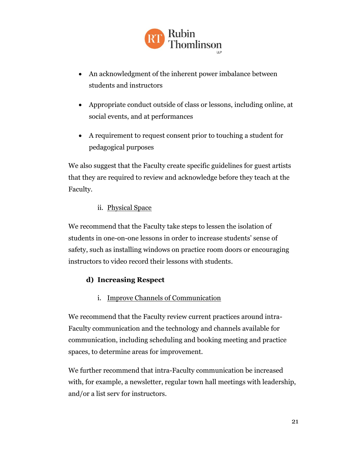

- An acknowledgment of the inherent power imbalance between students and instructors
- Appropriate conduct outside of class or lessons, including online, at social events, and at performances
- A requirement to request consent prior to touching a student for pedagogical purposes

We also suggest that the Faculty create specific guidelines for guest artists that they are required to review and acknowledge before they teach at the Faculty.

#### ii. Physical Space

<span id="page-23-0"></span>We recommend that the Faculty take steps to lessen the isolation of students in one-on-one lessons in order to increase students' sense of safety, such as installing windows on practice room doors or encouraging instructors to video record their lessons with students.

# <span id="page-23-1"></span>**d) Increasing Respect**

i. Improve Channels of Communication

<span id="page-23-2"></span>We recommend that the Faculty review current practices around intra-Faculty communication and the technology and channels available for communication, including scheduling and booking meeting and practice spaces, to determine areas for improvement.

We further recommend that intra-Faculty communication be increased with, for example, a newsletter, regular town hall meetings with leadership, and/or a list serv for instructors.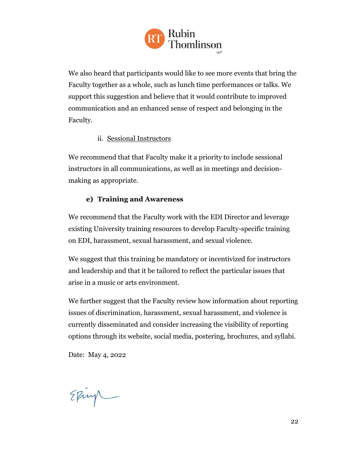

We also heard that participants would like to see more events that bring the Faculty together as a whole, such as lunch time performances or talks. We support this suggestion and believe that it would contribute to improved communication and an enhanced sense of respect and belonging in the Faculty.

#### ii. Sessional Instructors

<span id="page-24-0"></span>We recommend that that Faculty make it a priority to include sessional instructors in all communications, as well as in meetings and decisionmaking as appropriate.

#### **e) Training and Awareness**

<span id="page-24-1"></span>We recommend that the Faculty work with the EDI Director and leverage existing University training resources to develop Faculty-specific training on EDI, harassment, sexual harassment, and sexual violence.

We suggest that this training be mandatory or incentivized for instructors and leadership and that it be tailored to reflect the particular issues that arise in a music or arts environment.

We further suggest that the Faculty review how information about reporting issues of discrimination, harassment, sexual harassment, and violence is currently disseminated and consider increasing the visibility of reporting options through its website, social media, postering, brochures, and syllabi.

Date: May 4, 2022

Eping